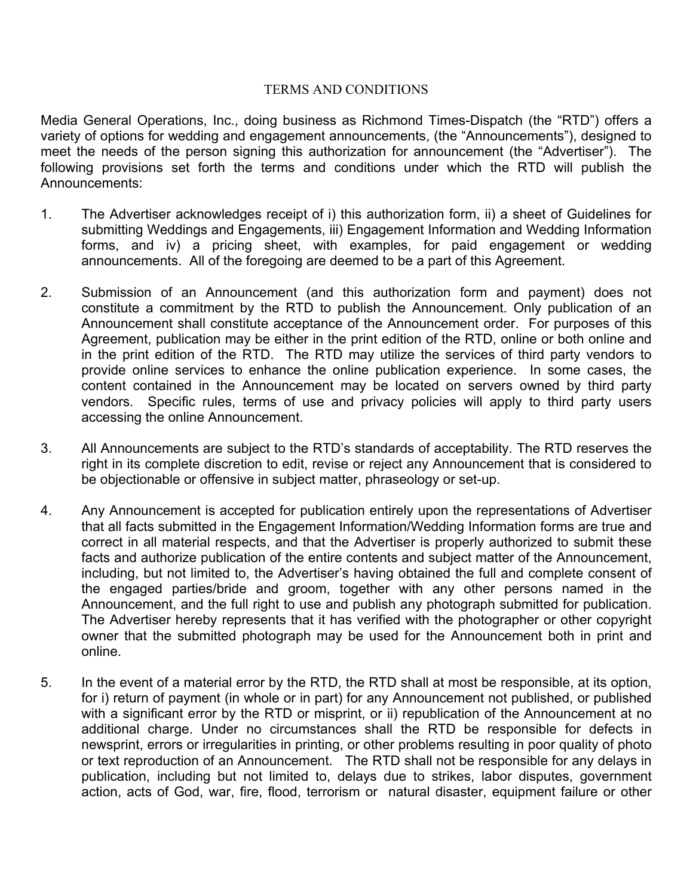## TERMS AND CONDITIONS

Media General Operations, Inc., doing business as Richmond Times-Dispatch (the "RTD") offers a variety of options for wedding and engagement announcements, (the "Announcements"), designed to meet the needs of the person signing this authorization for announcement (the "Advertiser"). The following provisions set forth the terms and conditions under which the RTD will publish the Announcements:

- 1. The Advertiser acknowledges receipt of i) this authorization form, ii) a sheet of Guidelines for submitting Weddings and Engagements, iii) Engagement Information and Wedding Information forms, and iv) a pricing sheet, with examples, for paid engagement or wedding announcements. All of the foregoing are deemed to be a part of this Agreement.
- 2. Submission of an Announcement (and this authorization form and payment) does not constitute a commitment by the RTD to publish the Announcement. Only publication of an Announcement shall constitute acceptance of the Announcement order. For purposes of this Agreement, publication may be either in the print edition of the RTD, online or both online and in the print edition of the RTD. The RTD may utilize the services of third party vendors to provide online services to enhance the online publication experience. In some cases, the content contained in the Announcement may be located on servers owned by third party vendors. Specific rules, terms of use and privacy policies will apply to third party users accessing the online Announcement.
- 3. All Announcements are subject to the RTD's standards of acceptability. The RTD reserves the right in its complete discretion to edit, revise or reject any Announcement that is considered to be objectionable or offensive in subject matter, phraseology or set-up.
- 4. Any Announcement is accepted for publication entirely upon the representations of Advertiser that all facts submitted in the Engagement Information/Wedding Information forms are true and correct in all material respects, and that the Advertiser is properly authorized to submit these facts and authorize publication of the entire contents and subject matter of the Announcement, including, but not limited to, the Advertiser's having obtained the full and complete consent of the engaged parties/bride and groom, together with any other persons named in the Announcement, and the full right to use and publish any photograph submitted for publication. The Advertiser hereby represents that it has verified with the photographer or other copyright owner that the submitted photograph may be used for the Announcement both in print and online.
- 5. In the event of a material error by the RTD, the RTD shall at most be responsible, at its option, for i) return of payment (in whole or in part) for any Announcement not published, or published with a significant error by the RTD or misprint, or ii) republication of the Announcement at no additional charge. Under no circumstances shall the RTD be responsible for defects in newsprint, errors or irregularities in printing, or other problems resulting in poor quality of photo or text reproduction of an Announcement. The RTD shall not be responsible for any delays in publication, including but not limited to, delays due to strikes, labor disputes, government action, acts of God, war, fire, flood, terrorism or natural disaster, equipment failure or other